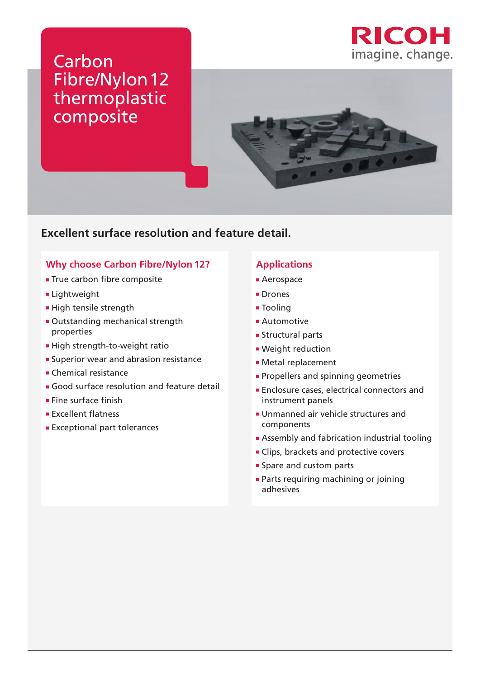

# Carbon Fibre/Nylon12 thermoplastic composite



### **Excellent surface resolution and feature detail.**

### **Why choose Carbon Fibre/Nylon 12?**

- **True carbon fibre composite**
- **Lightweight**
- **High tensile strength**
- Outstanding mechanical strength properties
- **High strength-to-weight ratio**
- **Superior wear and abrasion resistance**
- **Chemical resistance**
- Good surface resolution and feature detail
- $\blacksquare$  Fine surface finish
- **Excellent flatness**
- Exceptional part tolerances

#### **Applications**

- **Aerospace**
- **Drones**
- **Tooling**
- **Automotive**
- **Structural parts**
- **· Weight reduction**
- Metal replacement
- **Propellers and spinning geometries**
- **Enclosure cases, electrical connectors and** instrument panels
- Unmanned air vehicle structures and components
- **Assembly and fabrication industrial tooling**
- **Clips, brackets and protective covers**
- **Spare and custom parts**
- **Parts requiring machining or joining** adhesives